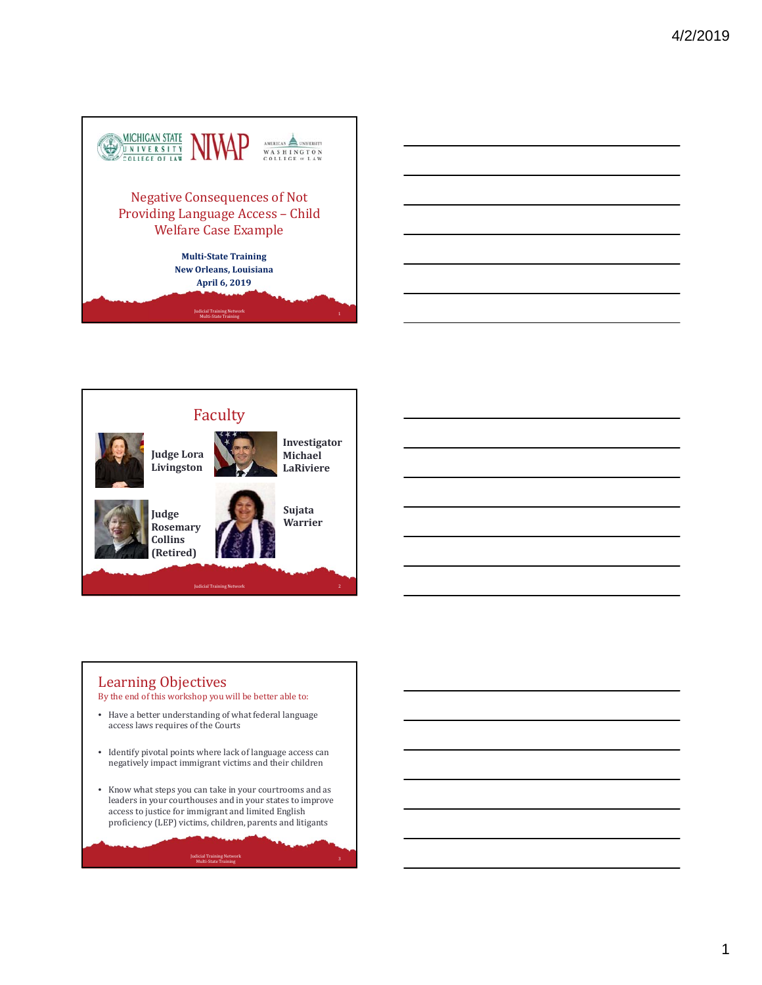





#### Learning Objectives By the end of this workshop you will be better able to:

- Have a better understanding of what federal language access laws requires of the Courts
- Identify pivotal points where lack of language access can negatively impact immigrant victims and their children
- Know what steps you can take in your courtrooms and as leaders in your courthouses and in your states to improve  $\arccos$  to justice for immigrant and limited English proficiency (LEP) victims, children, parents and litigants

<sup>3</sup> Judicial Training Network Multi‐State Training

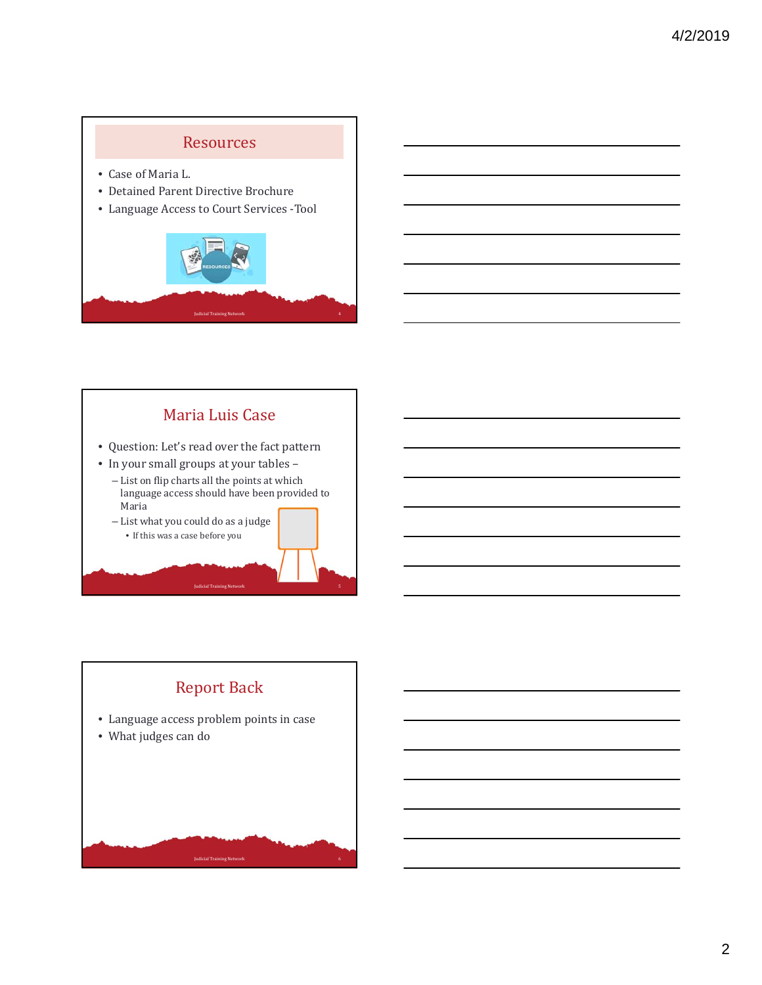# **Resources**

- Case of Maria L.
- Detained Parent Directive Brochure
- Language Access to Court Services -Tool



# Maria Luis Case

- Question: Let's read over the fact pattern
- In your small groups at your tables -
	- List on flip charts all the points at which language access should have been provided to Maria

Judicial Training Network 5

– List what you could do as a judge



# **Report Back** • Language access problem points in case • What judges can do Judicial Training Network 6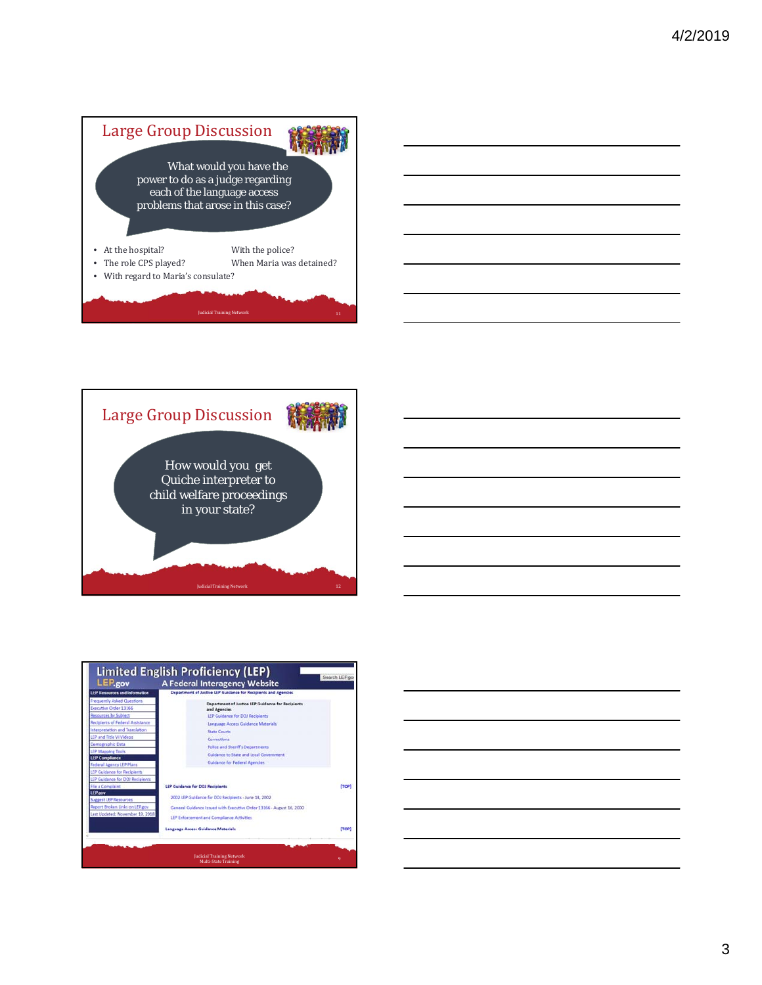







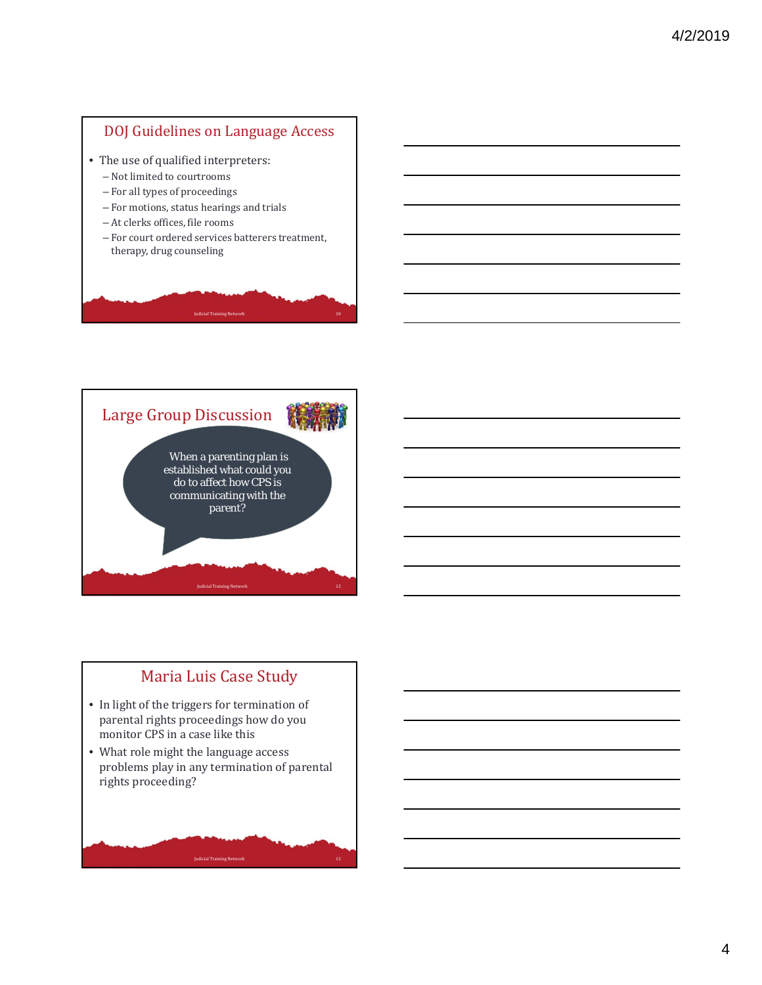#### DOJ Guidelines on Language Access

- The use of qualified interpreters:
	- $-$  Not limited to courtrooms
	- For all types of proceedings
	- For motions, status hearings and trials
	- At clerks offices, file rooms
	- For court ordered services batterers treatment, therapy, drug counseling

Iudicial Training Network



# Maria Luis Case Study

- In light of the triggers for termination of parental rights proceedings how do you monitor CPS in a case like this
- What role might the language access problems play in any termination of parental rights proceeding?

Judicial Training Network 12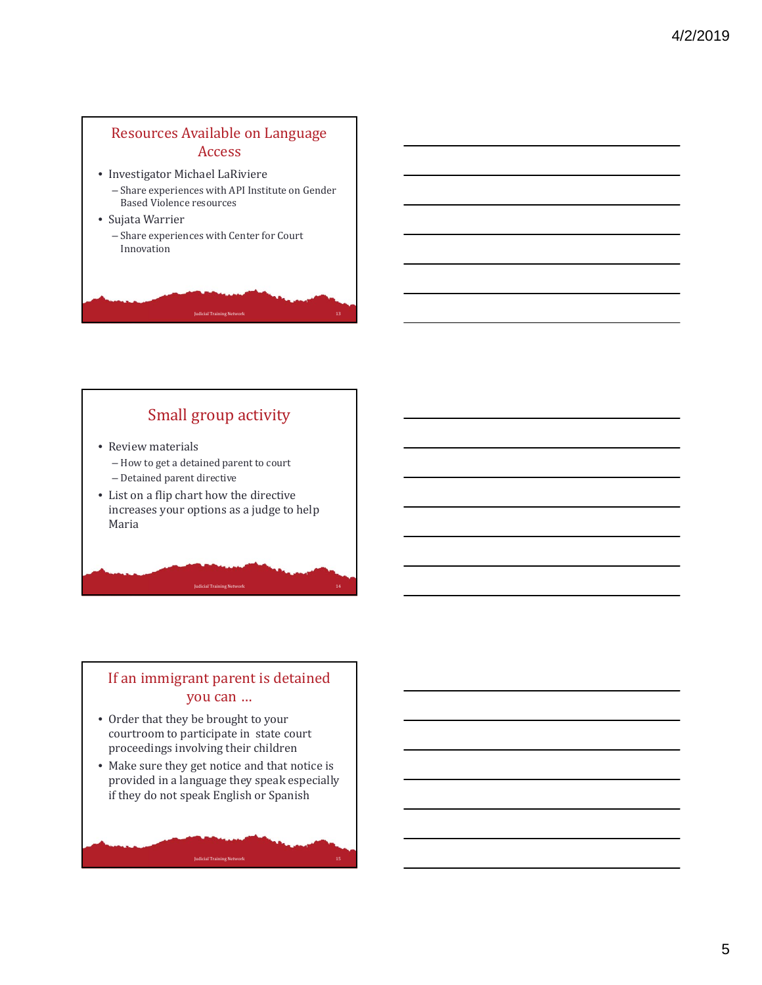## Resources Available on Language Access

- Investigator Michael LaRiviere
	- Share experiences with API Institute on Gender **Based Violence resources**
- Sujata Warrier
	- Share experiences with Center for Court Innovation

# Small group activity

**Judicial Training Network** 

- Review materials
	- How to get a detained parent to court
	- Detained parent directive
- List on a flip chart how the directive increases your options as a judge to help Maria

#### If an immigrant parent is detained you can …

Judicial Training Network 14

Judicial Training Network 15

- Order that they be brought to your courtroom to participate in state court proceedings involving their children
- Make sure they get notice and that notice is provided in a language they speak especially if they do not speak English or Spanish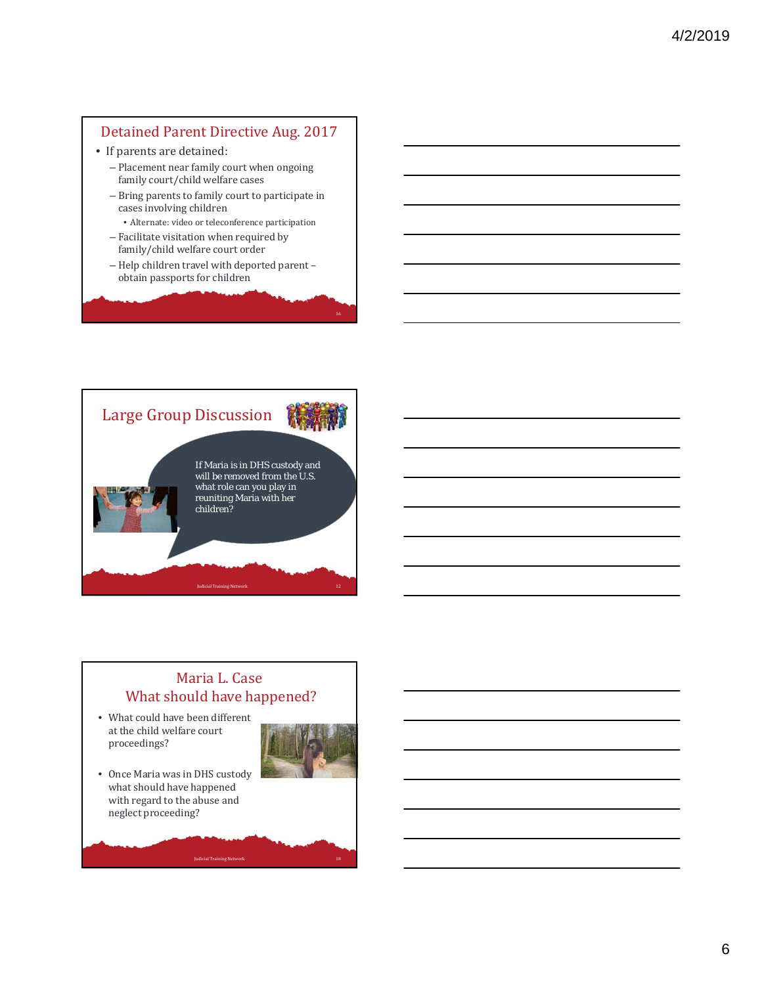### Detained Parent Directive Aug. 2017

- If parents are detained:
	- $-$  Placement near family court when ongoing family court/child welfare cases
	- $-$  Bring parents to family court to participate in cases involving children
	- Alternate: video or teleconference participation
	- $-$  Facilitate visitation when required by family/child welfare court order
	- Help children travel with deported parent obtain passports for children



#### Maria L. Case What should have happened?

Judicial Training Network

• What could have been different at the child welfare court proceedings?



• Once Maria was in DHS custody what should have happened with regard to the abuse and neglect proceeding?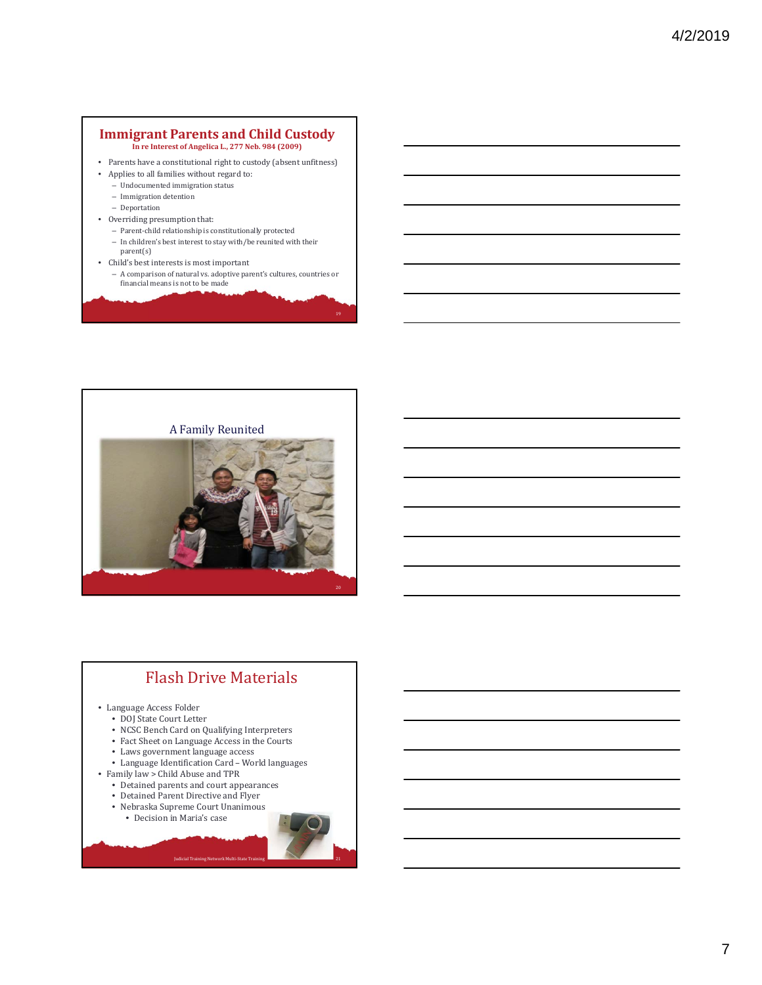#### **Immigrant Parents and Child Custody In re Interest of Angelica L., 277 Neb. 984 (2009)**

- Parents have a constitutional right to custody (absent unfitness)
- Applies to all families without regard to:
	- $-$  Undocumented immigration status  $\,$
	- Immigration detention
	- Deportation
- Overriding presumption that:
	- Parent-child relationship is constitutionally protected  $-$  In children's best interest to stay with/be reunited with their
	- parent(s)
- Child's best interests is most important
	- A comparison of natural vs. adoptive parent's cultures, countries or<br>financial means is not to be made

19



## Flash Drive Materials

- Language Access Folder
	- DOJ State Court Letter
	- NCSC Bench Card on Qualifying Interpreters
	- $\bullet~$  Fact Sheet on Language Access in the Courts
	- Laws government language access
	- Language Identification Card World languages

Judicial Training Network Multi-St

- Family law > Child Abuse and TPR
	- Detained parents and court appearances
	- Detained Parent Directive and Flyer
	- Nebraska Supreme Court Unanimous
		- Decision in Maria's case